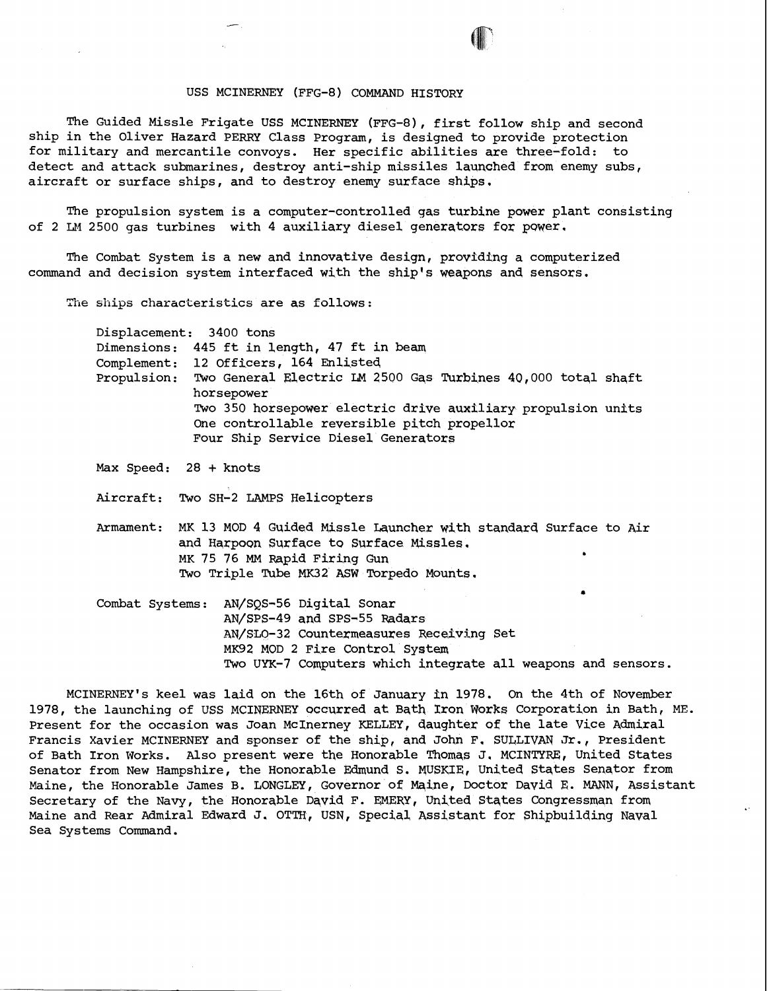## USS MCINERNEY (FFG-8) COMMAND HISTORY

The Guided Missle Frigate USS MCINERNEY (FFG-8), first follow ship and second ship in the Oliver Hazard PERRY Class Program, is designed to provide protection for military and mercantile convoys. Her specific abilities are three-fold: to detect and attack submarines, destroy anti-ship missiles launched from enemy subs, aircraft or surface ships, and to destroy enemy surface ships.

The propulsion system is a computer-controlled gas turbine power plant consisting of 2 LM 2500 gas turbines with 4 auxiliary diesel generators for power.

The Combat System is a new and innovative design, providing a computerized command and decision system interfaced with the ship's weapons and sensors.

The ships characteristics are as follows:

Displacement: 3400 tons Dimensions: 445 ft in length, 47 ft in beam Complement: 12 officers, 164 Enlisted Propulsion: TWO General Electric LM 2500 Gqs Turbines 40,000 total shaft horsepower Two 350 horsepower electric drive auxiliary propulsion units One controllable reversible pitch propellor Four Ship Service Diesel Generators

Max Speed: 28 + knots

Aircraft: Two SH-2 LAMPS Helicopters

Armament: MK 13 MOD 4 Guided Wissle Launcher with standard Surface to Air and Harpoon Surface to Surface Missles. MK 75 76 **MM** Rapid Firing Gun **<sup>b</sup>** Two Triple Tube **MK32** ASW Torpedo Mounts.

Combat Systems: AN/SQS-56 Digital Sonar AN/SPS-49 and SPS-55 Radars AW/SLO-32 Countermeasures Receiving Set MK92 MOD 2 Fire Control System Two **UYX-7** Computers which integrate all weapons and sensors.

MCINERNEY's keel was laid on the 16th of January in 1978. On the 4th of November 1978, the launching of USS MCINERNEY occurred at Bath Xron Works Corporation in Bath, ME. Present for the occasion was Joan McInerney KELLEY, daughter of the late Vice Admiral Francis Xavier MCINERNEY and sponser of the ship, and John F. SULLIVAN Jr., President of Bath Iron Works. Also present were the Honorable Thomas J. MCINTYRE, United States Senator from New Hampshire, the Honorable Edmund S. YUSKIE, United States Senator from Maine, the Honorable James B. LONGLEY, Governor of Maine, Doctor David E. MANN, Assistant Secretary of the Navy, the Honorable David F. EMERY, United States Congressman from Maine and Rear Admiral Edward J. OTTH, USN, Special Assistant for Shipbuilding Naval Sea Systems Command.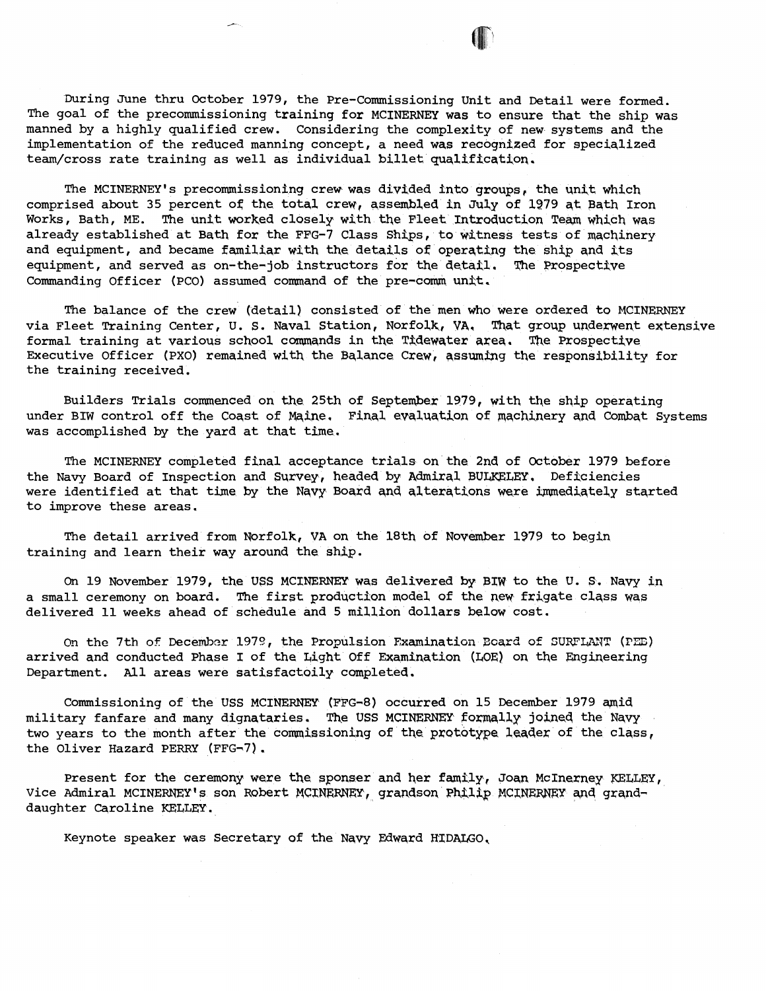The MCINERNEY's precommissioning crew was divided into groups, the unit which comprised about 35 percent of the total crew, assembled in Ju2y of **1279** qt Bath Iron Works, Bath, ME. The unit worked closely with the Fleet Introduction Team which was already established at Bath for the FPG-7 Class Shtps, to witness tests of machinery and equipment, and became familiar with the details of operating the ship and its equipment, and served as on-the-iob instructors for the detail. The Prospective equipment, and served as on-the-job instructors for the detail. Commanding Officer (PCO) assumed command of the pre-comm unit.

The balance of the crew (detail) consisted of the men who were ordered **to** MCINERNEY via Fleet Training Center, U. S. Naval Station, Norfolk, VA, That group underwent extensive formal training at various school commands in the Tidewater area. The Prospective Executive Officer (PXO) remained with the Balance Crew, assuming the responsibility for the training received.

Builders Trials commenced on the 25th of September 1979, with the ship operating under BIW control off the Coast of Maine, Final evaluation of machinery and Combat Systems was accomplished by the yard at that time.

The MCINERNEY completed final acceptance trials on the 2nd of October 1979 before the Navy Board of Inspection and Survey, headed by Admiral BULKELEY. Deficiencies were identified at that time by the Navy Board and alterations were immediately started to improve these areas.

The detail arrived from Norfolk, **VA** on the 18th of November 1979 to begin training and learn their way around the ship.

On 19 November 1979, the **USS MCXNERNEY** was delivered by **BIW** to the **U.** S. Navy in a small ceremony on board. The first prodqction model of the new frigate class was delivered llweeks ahead of schedule and 5 million dollars below cost.

e~ the 7th of Decemhzr 1973, the Propulsion Examination **Zcard of** SURFWIT (PEE) arrived and conducted Phase I of the bight Off Examination (LOE) on the Engineering Department. All areas were satisfactoily completed.

Commissioning of the USS MCINERNEY (FFG-8) occurred on 15 December 1979 amid military fanfare and many dignataries. The USS MCINERNEY formally joined the Navy two years to the month after the commissioning of the prototype leader of the class, the Oliver Hazard PERRY (FFG-7).

Present for the ceremony were the sponser and her family, Joan McInerney KELLEY, Vice Admiral MCINERNEY's son Robert MCINERNEY, grandson Philip MCINERNEY and granddaughter Caroline KELLEY.

Keynote speaker was Secretary of the Navy Edward HIDALGO,